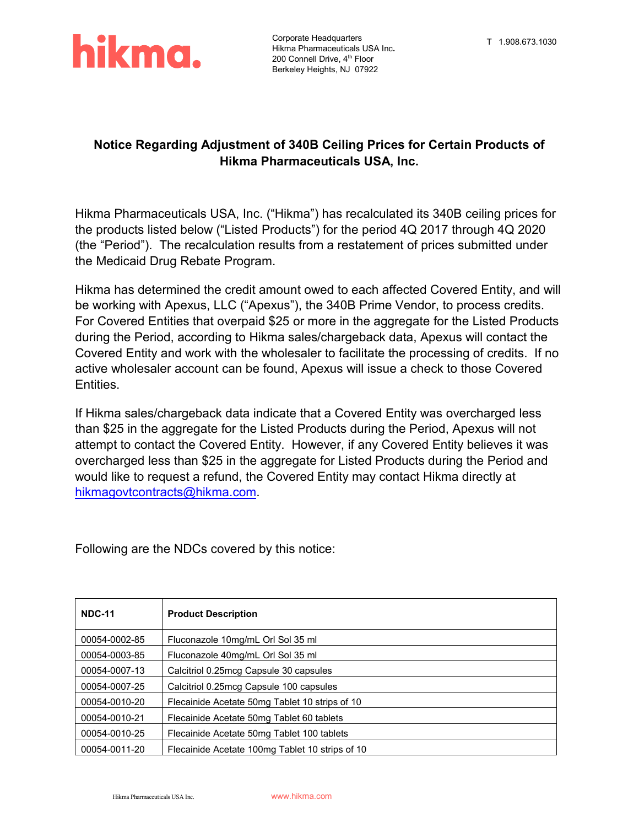

#### **Notice Regarding Adjustment of 340B Ceiling Prices for Certain Products of Hikma Pharmaceuticals USA, Inc.**

Hikma Pharmaceuticals USA, Inc. ("Hikma") has recalculated its 340B ceiling prices for the products listed below ("Listed Products") for the period 4Q 2017 through 4Q 2020 (the "Period"). The recalculation results from a restatement of prices submitted under the Medicaid Drug Rebate Program.

Hikma has determined the credit amount owed to each affected Covered Entity, and will be working with Apexus, LLC ("Apexus"), the 340B Prime Vendor, to process credits. For Covered Entities that overpaid \$25 or more in the aggregate for the Listed Products during the Period, according to Hikma sales/chargeback data, Apexus will contact the Covered Entity and work with the wholesaler to facilitate the processing of credits. If no active wholesaler account can be found, Apexus will issue a check to those Covered Entities.

If Hikma sales/chargeback data indicate that a Covered Entity was overcharged less than \$25 in the aggregate for the Listed Products during the Period, Apexus will not attempt to contact the Covered Entity. However, if any Covered Entity believes it was overcharged less than \$25 in the aggregate for Listed Products during the Period and would like to request a refund, the Covered Entity may contact Hikma directly at [hikmagovtcontracts@hikma.com.](mailto:hikmagovtcontracts@hikma.com)

Following are the NDCs covered by this notice:

| <b>NDC-11</b> | <b>Product Description</b>                      |
|---------------|-------------------------------------------------|
| 00054-0002-85 | Fluconazole 10mg/mL Orl Sol 35 ml               |
| 00054-0003-85 | Fluconazole 40mg/mL Orl Sol 35 ml               |
| 00054-0007-13 | Calcitriol 0.25mcg Capsule 30 capsules          |
| 00054-0007-25 | Calcitriol 0.25mcg Capsule 100 capsules         |
| 00054-0010-20 | Flecainide Acetate 50mg Tablet 10 strips of 10  |
| 00054-0010-21 | Flecainide Acetate 50mg Tablet 60 tablets       |
| 00054-0010-25 | Flecainide Acetate 50mg Tablet 100 tablets      |
| 00054-0011-20 | Flecainide Acetate 100mg Tablet 10 strips of 10 |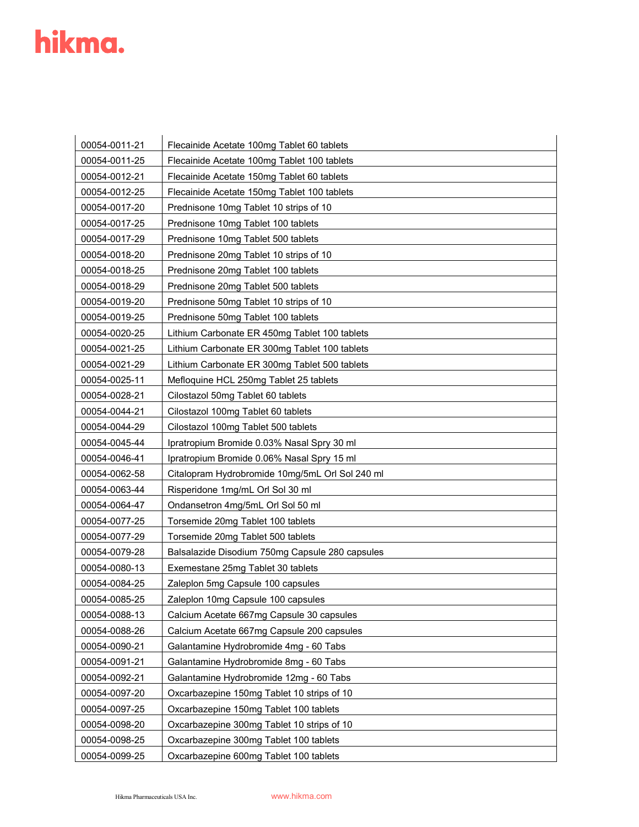| 00054-0011-21 | Flecainide Acetate 100mg Tablet 60 tablets      |
|---------------|-------------------------------------------------|
| 00054-0011-25 | Flecainide Acetate 100mg Tablet 100 tablets     |
| 00054-0012-21 | Flecainide Acetate 150mg Tablet 60 tablets      |
| 00054-0012-25 | Flecainide Acetate 150mg Tablet 100 tablets     |
| 00054-0017-20 | Prednisone 10mg Tablet 10 strips of 10          |
| 00054-0017-25 | Prednisone 10mg Tablet 100 tablets              |
| 00054-0017-29 | Prednisone 10mg Tablet 500 tablets              |
| 00054-0018-20 | Prednisone 20mg Tablet 10 strips of 10          |
| 00054-0018-25 | Prednisone 20mg Tablet 100 tablets              |
| 00054-0018-29 | Prednisone 20mg Tablet 500 tablets              |
| 00054-0019-20 | Prednisone 50mg Tablet 10 strips of 10          |
| 00054-0019-25 | Prednisone 50mg Tablet 100 tablets              |
| 00054-0020-25 | Lithium Carbonate ER 450mg Tablet 100 tablets   |
| 00054-0021-25 | Lithium Carbonate ER 300mg Tablet 100 tablets   |
| 00054-0021-29 | Lithium Carbonate ER 300mg Tablet 500 tablets   |
| 00054-0025-11 | Mefloquine HCL 250mg Tablet 25 tablets          |
| 00054-0028-21 | Cilostazol 50mg Tablet 60 tablets               |
| 00054-0044-21 | Cilostazol 100mg Tablet 60 tablets              |
| 00054-0044-29 | Cilostazol 100mg Tablet 500 tablets             |
| 00054-0045-44 | Ipratropium Bromide 0.03% Nasal Spry 30 ml      |
| 00054-0046-41 | Ipratropium Bromide 0.06% Nasal Spry 15 ml      |
| 00054-0062-58 | Citalopram Hydrobromide 10mg/5mL Orl Sol 240 ml |
| 00054-0063-44 | Risperidone 1mg/mL Orl Sol 30 ml                |
| 00054-0064-47 | Ondansetron 4mg/5mL Orl Sol 50 ml               |
| 00054-0077-25 | Torsemide 20mg Tablet 100 tablets               |
| 00054-0077-29 | Torsemide 20mg Tablet 500 tablets               |
| 00054-0079-28 | Balsalazide Disodium 750mg Capsule 280 capsules |
| 00054-0080-13 | Exemestane 25mg Tablet 30 tablets               |
| 00054-0084-25 | Zaleplon 5mg Capsule 100 capsules               |
| 00054-0085-25 | Zaleplon 10mg Capsule 100 capsules              |
| 00054-0088-13 | Calcium Acetate 667mg Capsule 30 capsules       |
| 00054-0088-26 | Calcium Acetate 667mg Capsule 200 capsules      |
| 00054-0090-21 | Galantamine Hydrobromide 4mg - 60 Tabs          |
| 00054-0091-21 | Galantamine Hydrobromide 8mg - 60 Tabs          |
| 00054-0092-21 | Galantamine Hydrobromide 12mg - 60 Tabs         |
| 00054-0097-20 | Oxcarbazepine 150mg Tablet 10 strips of 10      |
| 00054-0097-25 | Oxcarbazepine 150mg Tablet 100 tablets          |
| 00054-0098-20 | Oxcarbazepine 300mg Tablet 10 strips of 10      |
| 00054-0098-25 | Oxcarbazepine 300mg Tablet 100 tablets          |
| 00054-0099-25 | Oxcarbazepine 600mg Tablet 100 tablets          |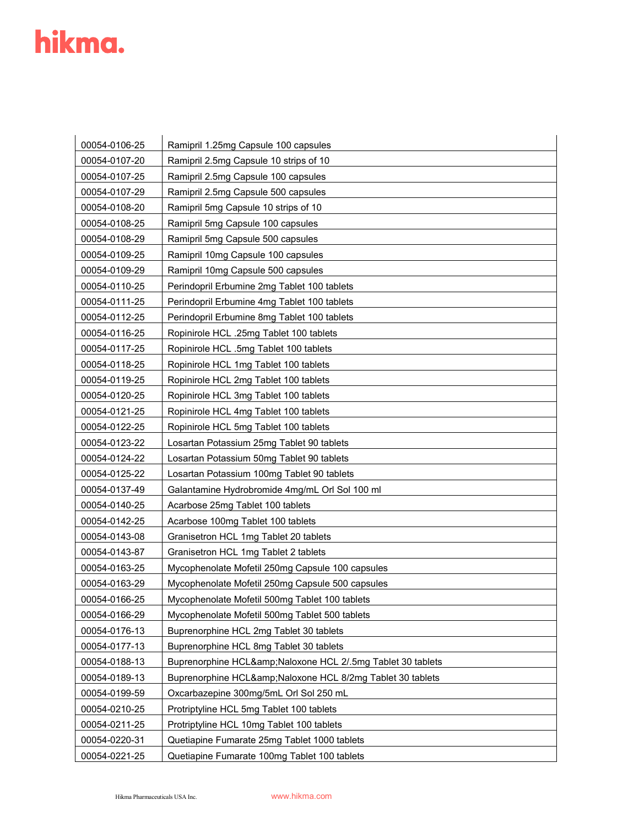| 00054-0106-25 | Ramipril 1.25mg Capsule 100 capsules                    |
|---------------|---------------------------------------------------------|
| 00054-0107-20 | Ramipril 2.5mg Capsule 10 strips of 10                  |
| 00054-0107-25 | Ramipril 2.5mg Capsule 100 capsules                     |
| 00054-0107-29 | Ramipril 2.5mg Capsule 500 capsules                     |
| 00054-0108-20 | Ramipril 5mg Capsule 10 strips of 10                    |
| 00054-0108-25 | Ramipril 5mg Capsule 100 capsules                       |
| 00054-0108-29 | Ramipril 5mg Capsule 500 capsules                       |
| 00054-0109-25 | Ramipril 10mg Capsule 100 capsules                      |
| 00054-0109-29 | Ramipril 10mg Capsule 500 capsules                      |
| 00054-0110-25 | Perindopril Erbumine 2mg Tablet 100 tablets             |
| 00054-0111-25 | Perindopril Erbumine 4mg Tablet 100 tablets             |
| 00054-0112-25 | Perindopril Erbumine 8mg Tablet 100 tablets             |
| 00054-0116-25 | Ropinirole HCL .25mg Tablet 100 tablets                 |
| 00054-0117-25 | Ropinirole HCL .5mg Tablet 100 tablets                  |
| 00054-0118-25 | Ropinirole HCL 1mg Tablet 100 tablets                   |
| 00054-0119-25 | Ropinirole HCL 2mg Tablet 100 tablets                   |
| 00054-0120-25 | Ropinirole HCL 3mg Tablet 100 tablets                   |
| 00054-0121-25 | Ropinirole HCL 4mg Tablet 100 tablets                   |
| 00054-0122-25 | Ropinirole HCL 5mg Tablet 100 tablets                   |
| 00054-0123-22 | Losartan Potassium 25mg Tablet 90 tablets               |
| 00054-0124-22 | Losartan Potassium 50mg Tablet 90 tablets               |
| 00054-0125-22 | Losartan Potassium 100mg Tablet 90 tablets              |
| 00054-0137-49 | Galantamine Hydrobromide 4mg/mL Orl Sol 100 ml          |
| 00054-0140-25 | Acarbose 25mg Tablet 100 tablets                        |
| 00054-0142-25 | Acarbose 100mg Tablet 100 tablets                       |
| 00054-0143-08 | Granisetron HCL 1mg Tablet 20 tablets                   |
| 00054-0143-87 | Granisetron HCL 1mg Tablet 2 tablets                    |
| 00054-0163-25 | Mycophenolate Mofetil 250mg Capsule 100 capsules        |
| 00054-0163-29 | Mycophenolate Mofetil 250mg Capsule 500 capsules        |
| 00054-0166-25 | Mycophenolate Mofetil 500mg Tablet 100 tablets          |
| 00054-0166-29 | Mycophenolate Mofetil 500mg Tablet 500 tablets          |
| 00054-0176-13 | Buprenorphine HCL 2mg Tablet 30 tablets                 |
| 00054-0177-13 | Buprenorphine HCL 8mg Tablet 30 tablets                 |
| 00054-0188-13 | Buprenorphine HCL&Naloxone HCL 2/.5mg Tablet 30 tablets |
| 00054-0189-13 | Buprenorphine HCL&Naloxone HCL 8/2mg Tablet 30 tablets  |
| 00054-0199-59 | Oxcarbazepine 300mg/5mL Orl Sol 250 mL                  |
| 00054-0210-25 | Protriptyline HCL 5mg Tablet 100 tablets                |
| 00054-0211-25 | Protriptyline HCL 10mg Tablet 100 tablets               |
| 00054-0220-31 | Quetiapine Fumarate 25mg Tablet 1000 tablets            |
| 00054-0221-25 | Quetiapine Fumarate 100mg Tablet 100 tablets            |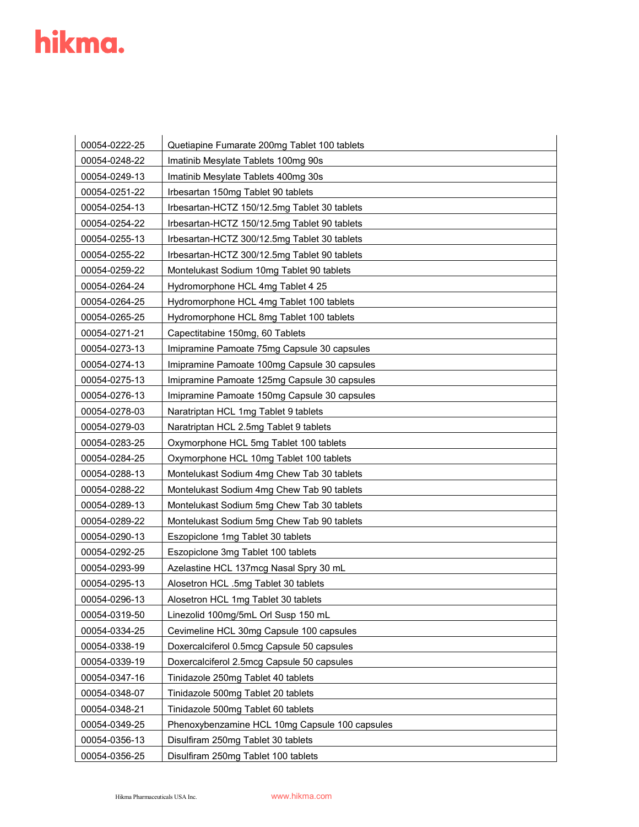| 00054-0222-25 | Quetiapine Fumarate 200mg Tablet 100 tablets   |
|---------------|------------------------------------------------|
| 00054-0248-22 | Imatinib Mesylate Tablets 100mg 90s            |
| 00054-0249-13 | Imatinib Mesylate Tablets 400mg 30s            |
| 00054-0251-22 | Irbesartan 150mg Tablet 90 tablets             |
| 00054-0254-13 | Irbesartan-HCTZ 150/12.5mg Tablet 30 tablets   |
| 00054-0254-22 | Irbesartan-HCTZ 150/12.5mg Tablet 90 tablets   |
| 00054-0255-13 | Irbesartan-HCTZ 300/12.5mg Tablet 30 tablets   |
| 00054-0255-22 | Irbesartan-HCTZ 300/12.5mg Tablet 90 tablets   |
| 00054-0259-22 | Montelukast Sodium 10mg Tablet 90 tablets      |
| 00054-0264-24 | Hydromorphone HCL 4mg Tablet 4 25              |
| 00054-0264-25 | Hydromorphone HCL 4mg Tablet 100 tablets       |
| 00054-0265-25 | Hydromorphone HCL 8mg Tablet 100 tablets       |
| 00054-0271-21 | Capectitabine 150mg, 60 Tablets                |
| 00054-0273-13 | Imipramine Pamoate 75mg Capsule 30 capsules    |
| 00054-0274-13 | Imipramine Pamoate 100mg Capsule 30 capsules   |
| 00054-0275-13 | Imipramine Pamoate 125mg Capsule 30 capsules   |
| 00054-0276-13 | Imipramine Pamoate 150mg Capsule 30 capsules   |
| 00054-0278-03 | Naratriptan HCL 1mg Tablet 9 tablets           |
| 00054-0279-03 | Naratriptan HCL 2.5mg Tablet 9 tablets         |
| 00054-0283-25 | Oxymorphone HCL 5mg Tablet 100 tablets         |
| 00054-0284-25 | Oxymorphone HCL 10mg Tablet 100 tablets        |
| 00054-0288-13 | Montelukast Sodium 4mg Chew Tab 30 tablets     |
| 00054-0288-22 | Montelukast Sodium 4mg Chew Tab 90 tablets     |
| 00054-0289-13 | Montelukast Sodium 5mg Chew Tab 30 tablets     |
| 00054-0289-22 | Montelukast Sodium 5mg Chew Tab 90 tablets     |
| 00054-0290-13 | Eszopiclone 1mg Tablet 30 tablets              |
| 00054-0292-25 | Eszopiclone 3mg Tablet 100 tablets             |
| 00054-0293-99 | Azelastine HCL 137mcg Nasal Spry 30 mL         |
| 00054-0295-13 | Alosetron HCL .5mg Tablet 30 tablets           |
| 00054-0296-13 | Alosetron HCL 1mg Tablet 30 tablets            |
| 00054-0319-50 | Linezolid 100mg/5mL Orl Susp 150 mL            |
| 00054-0334-25 | Cevimeline HCL 30mg Capsule 100 capsules       |
| 00054-0338-19 | Doxercalciferol 0.5mcg Capsule 50 capsules     |
| 00054-0339-19 | Doxercalciferol 2.5mcg Capsule 50 capsules     |
| 00054-0347-16 | Tinidazole 250mg Tablet 40 tablets             |
| 00054-0348-07 | Tinidazole 500mg Tablet 20 tablets             |
| 00054-0348-21 | Tinidazole 500mg Tablet 60 tablets             |
| 00054-0349-25 | Phenoxybenzamine HCL 10mg Capsule 100 capsules |
| 00054-0356-13 | Disulfiram 250mg Tablet 30 tablets             |
| 00054-0356-25 | Disulfiram 250mg Tablet 100 tablets            |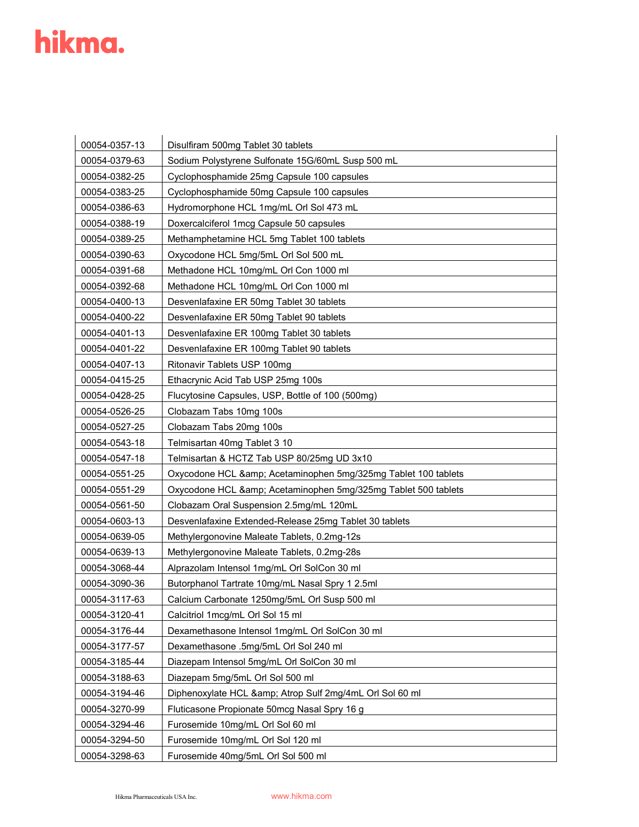| 00054-0357-13 | Disulfiram 500mg Tablet 30 tablets                         |
|---------------|------------------------------------------------------------|
| 00054-0379-63 | Sodium Polystyrene Sulfonate 15G/60mL Susp 500 mL          |
| 00054-0382-25 | Cyclophosphamide 25mg Capsule 100 capsules                 |
| 00054-0383-25 | Cyclophosphamide 50mg Capsule 100 capsules                 |
| 00054-0386-63 | Hydromorphone HCL 1mg/mL Orl Sol 473 mL                    |
| 00054-0388-19 | Doxercalciferol 1mcg Capsule 50 capsules                   |
| 00054-0389-25 | Methamphetamine HCL 5mg Tablet 100 tablets                 |
| 00054-0390-63 | Oxycodone HCL 5mg/5mL Orl Sol 500 mL                       |
| 00054-0391-68 | Methadone HCL 10mg/mL Orl Con 1000 ml                      |
| 00054-0392-68 | Methadone HCL 10mg/mL Orl Con 1000 ml                      |
| 00054-0400-13 | Desvenlafaxine ER 50mg Tablet 30 tablets                   |
| 00054-0400-22 | Desvenlafaxine ER 50mg Tablet 90 tablets                   |
| 00054-0401-13 | Desvenlafaxine ER 100mg Tablet 30 tablets                  |
| 00054-0401-22 | Desvenlafaxine ER 100mg Tablet 90 tablets                  |
| 00054-0407-13 | Ritonavir Tablets USP 100mg                                |
| 00054-0415-25 | Ethacrynic Acid Tab USP 25mg 100s                          |
| 00054-0428-25 | Flucytosine Capsules, USP, Bottle of 100 (500mg)           |
| 00054-0526-25 | Clobazam Tabs 10mg 100s                                    |
| 00054-0527-25 | Clobazam Tabs 20mg 100s                                    |
| 00054-0543-18 | Telmisartan 40mg Tablet 3 10                               |
| 00054-0547-18 | Telmisartan & HCTZ Tab USP 80/25mg UD 3x10                 |
| 00054-0551-25 | Oxycodone HCL & Acetaminophen 5mg/325mg Tablet 100 tablets |
| 00054-0551-29 | Oxycodone HCL & Acetaminophen 5mg/325mg Tablet 500 tablets |
| 00054-0561-50 | Clobazam Oral Suspension 2.5mg/mL 120mL                    |
| 00054-0603-13 | Desvenlafaxine Extended-Release 25mg Tablet 30 tablets     |
| 00054-0639-05 | Methylergonovine Maleate Tablets, 0.2mg-12s                |
| 00054-0639-13 | Methylergonovine Maleate Tablets, 0.2mg-28s                |
| 00054-3068-44 | Alprazolam Intensol 1mg/mL Orl SolCon 30 ml                |
| 00054-3090-36 | Butorphanol Tartrate 10mg/mL Nasal Spry 1 2.5ml            |
| 00054-3117-63 | Calcium Carbonate 1250mg/5mL Orl Susp 500 ml               |
| 00054-3120-41 | Calcitriol 1mcg/mL Orl Sol 15 ml                           |
| 00054-3176-44 | Dexamethasone Intensol 1mg/mL Orl SolCon 30 ml             |
| 00054-3177-57 | Dexamethasone .5mg/5mL Orl Sol 240 ml                      |
| 00054-3185-44 | Diazepam Intensol 5mg/mL Orl SolCon 30 ml                  |
| 00054-3188-63 | Diazepam 5mg/5mL Orl Sol 500 ml                            |
| 00054-3194-46 | Diphenoxylate HCL & Atrop Sulf 2mg/4mL Orl Sol 60 ml       |
| 00054-3270-99 | Fluticasone Propionate 50mcg Nasal Spry 16 g               |
| 00054-3294-46 | Furosemide 10mg/mL Orl Sol 60 ml                           |
| 00054-3294-50 | Furosemide 10mg/mL Orl Sol 120 ml                          |
| 00054-3298-63 | Furosemide 40mg/5mL Orl Sol 500 ml                         |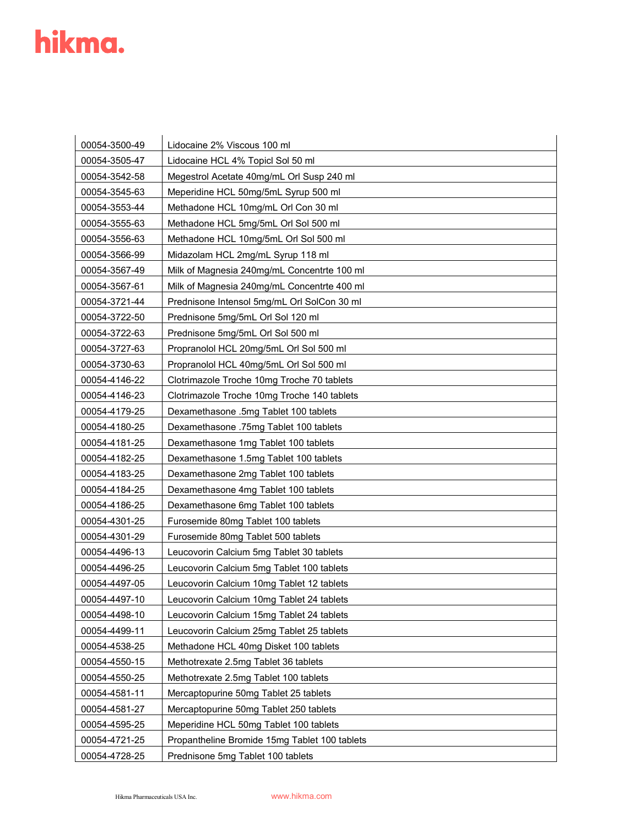| 00054-3500-49 | Lidocaine 2% Viscous 100 ml                   |
|---------------|-----------------------------------------------|
| 00054-3505-47 | Lidocaine HCL 4% Topicl Sol 50 ml             |
| 00054-3542-58 | Megestrol Acetate 40mg/mL Orl Susp 240 ml     |
| 00054-3545-63 | Meperidine HCL 50mg/5mL Syrup 500 ml          |
| 00054-3553-44 | Methadone HCL 10mg/mL Orl Con 30 ml           |
| 00054-3555-63 | Methadone HCL 5mg/5mL Orl Sol 500 ml          |
| 00054-3556-63 | Methadone HCL 10mg/5mL Orl Sol 500 ml         |
| 00054-3566-99 | Midazolam HCL 2mg/mL Syrup 118 ml             |
| 00054-3567-49 | Milk of Magnesia 240mg/mL Concentrte 100 ml   |
| 00054-3567-61 | Milk of Magnesia 240mg/mL Concentrte 400 ml   |
| 00054-3721-44 | Prednisone Intensol 5mg/mL Orl SolCon 30 ml   |
| 00054-3722-50 | Prednisone 5mg/5mL Orl Sol 120 ml             |
| 00054-3722-63 | Prednisone 5mg/5mL Orl Sol 500 ml             |
| 00054-3727-63 | Propranolol HCL 20mg/5mL Orl Sol 500 ml       |
| 00054-3730-63 | Propranolol HCL 40mg/5mL Orl Sol 500 ml       |
| 00054-4146-22 | Clotrimazole Troche 10mg Troche 70 tablets    |
| 00054-4146-23 | Clotrimazole Troche 10mg Troche 140 tablets   |
| 00054-4179-25 | Dexamethasone .5mg Tablet 100 tablets         |
| 00054-4180-25 | Dexamethasone .75mg Tablet 100 tablets        |
| 00054-4181-25 | Dexamethasone 1mg Tablet 100 tablets          |
| 00054-4182-25 | Dexamethasone 1.5mg Tablet 100 tablets        |
| 00054-4183-25 | Dexamethasone 2mg Tablet 100 tablets          |
| 00054-4184-25 | Dexamethasone 4mg Tablet 100 tablets          |
| 00054-4186-25 | Dexamethasone 6mg Tablet 100 tablets          |
| 00054-4301-25 | Furosemide 80mg Tablet 100 tablets            |
| 00054-4301-29 | Furosemide 80mg Tablet 500 tablets            |
| 00054-4496-13 | Leucovorin Calcium 5mg Tablet 30 tablets      |
| 00054-4496-25 | Leucovorin Calcium 5mg Tablet 100 tablets     |
| 00054-4497-05 | Leucovorin Calcium 10mg Tablet 12 tablets     |
| 00054-4497-10 | Leucovorin Calcium 10mg Tablet 24 tablets     |
| 00054-4498-10 | Leucovorin Calcium 15mg Tablet 24 tablets     |
| 00054-4499-11 | Leucovorin Calcium 25mg Tablet 25 tablets     |
| 00054-4538-25 | Methadone HCL 40mg Disket 100 tablets         |
| 00054-4550-15 | Methotrexate 2.5mg Tablet 36 tablets          |
| 00054-4550-25 | Methotrexate 2.5mg Tablet 100 tablets         |
| 00054-4581-11 | Mercaptopurine 50mg Tablet 25 tablets         |
| 00054-4581-27 | Mercaptopurine 50mg Tablet 250 tablets        |
| 00054-4595-25 | Meperidine HCL 50mg Tablet 100 tablets        |
| 00054-4721-25 | Propantheline Bromide 15mg Tablet 100 tablets |
| 00054-4728-25 | Prednisone 5mg Tablet 100 tablets             |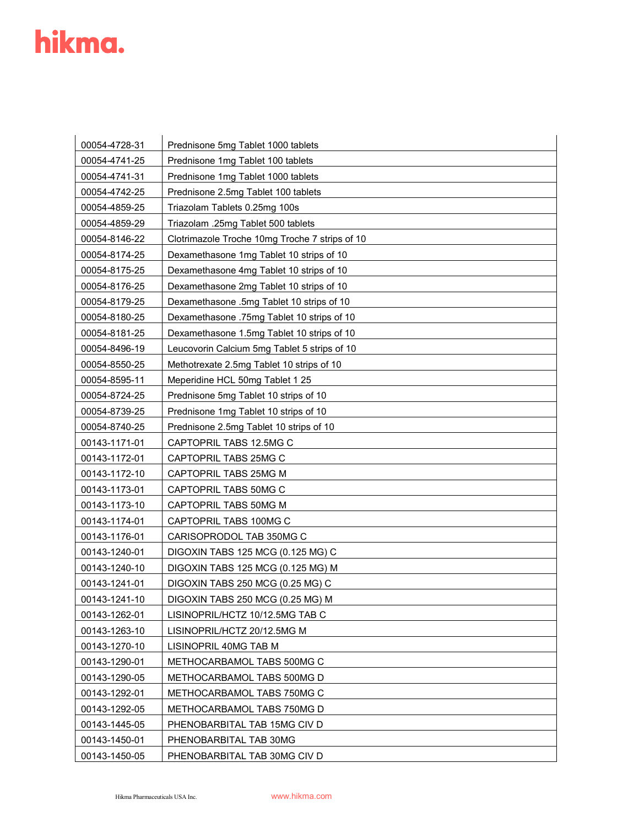| 00054-4728-31 | Prednisone 5mg Tablet 1000 tablets             |
|---------------|------------------------------------------------|
| 00054-4741-25 | Prednisone 1mg Tablet 100 tablets              |
| 00054-4741-31 | Prednisone 1mg Tablet 1000 tablets             |
| 00054-4742-25 | Prednisone 2.5mg Tablet 100 tablets            |
| 00054-4859-25 | Triazolam Tablets 0.25mg 100s                  |
| 00054-4859-29 | Triazolam .25mg Tablet 500 tablets             |
| 00054-8146-22 | Clotrimazole Troche 10mg Troche 7 strips of 10 |
| 00054-8174-25 | Dexamethasone 1mg Tablet 10 strips of 10       |
| 00054-8175-25 | Dexamethasone 4mg Tablet 10 strips of 10       |
| 00054-8176-25 | Dexamethasone 2mg Tablet 10 strips of 10       |
| 00054-8179-25 | Dexamethasone .5mg Tablet 10 strips of 10      |
| 00054-8180-25 | Dexamethasone .75mg Tablet 10 strips of 10     |
| 00054-8181-25 | Dexamethasone 1.5mg Tablet 10 strips of 10     |
| 00054-8496-19 | Leucovorin Calcium 5mg Tablet 5 strips of 10   |
| 00054-8550-25 | Methotrexate 2.5mg Tablet 10 strips of 10      |
| 00054-8595-11 | Meperidine HCL 50mg Tablet 1 25                |
| 00054-8724-25 | Prednisone 5mg Tablet 10 strips of 10          |
| 00054-8739-25 | Prednisone 1mg Tablet 10 strips of 10          |
| 00054-8740-25 | Prednisone 2.5mg Tablet 10 strips of 10        |
| 00143-1171-01 | CAPTOPRIL TABS 12.5MG C                        |
| 00143-1172-01 | CAPTOPRIL TABS 25MG C                          |
| 00143-1172-10 | CAPTOPRIL TABS 25MG M                          |
| 00143-1173-01 | CAPTOPRIL TABS 50MG C                          |
| 00143-1173-10 | CAPTOPRIL TABS 50MG M                          |
| 00143-1174-01 | CAPTOPRIL TABS 100MG C                         |
| 00143-1176-01 | CARISOPRODOL TAB 350MG C                       |
| 00143-1240-01 | DIGOXIN TABS 125 MCG (0.125 MG) C              |
| 00143-1240-10 | DIGOXIN TABS 125 MCG (0.125 MG) M              |
| 00143-1241-01 | DIGOXIN TABS 250 MCG (0.25 MG) C               |
| 00143-1241-10 | DIGOXIN TABS 250 MCG (0.25 MG) M               |
| 00143-1262-01 | LISINOPRIL/HCTZ 10/12.5MG TAB C                |
| 00143-1263-10 | LISINOPRIL/HCTZ 20/12.5MG M                    |
| 00143-1270-10 | LISINOPRIL 40MG TAB M                          |
| 00143-1290-01 | METHOCARBAMOL TABS 500MG C                     |
| 00143-1290-05 | METHOCARBAMOL TABS 500MG D                     |
| 00143-1292-01 | METHOCARBAMOL TABS 750MG C                     |
| 00143-1292-05 | METHOCARBAMOL TABS 750MG D                     |
| 00143-1445-05 | PHENOBARBITAL TAB 15MG CIV D                   |
| 00143-1450-01 | PHENOBARBITAL TAB 30MG                         |
| 00143-1450-05 | PHENOBARBITAL TAB 30MG CIV D                   |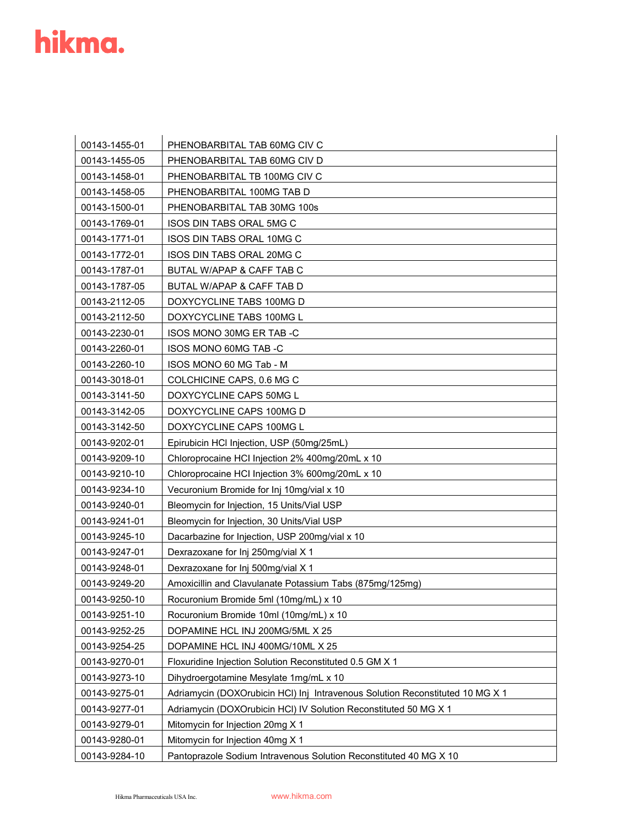| 00143-1455-01 | PHENOBARBITAL TAB 60MG CIV C                                                  |
|---------------|-------------------------------------------------------------------------------|
| 00143-1455-05 | PHENOBARBITAL TAB 60MG CIV D                                                  |
| 00143-1458-01 | PHENOBARBITAL TB 100MG CIV C                                                  |
| 00143-1458-05 | PHENOBARBITAL 100MG TAB D                                                     |
| 00143-1500-01 | PHENOBARBITAL TAB 30MG 100s                                                   |
| 00143-1769-01 | ISOS DIN TABS ORAL 5MG C                                                      |
| 00143-1771-01 | <b>ISOS DIN TABS ORAL 10MG C</b>                                              |
| 00143-1772-01 | <b>ISOS DIN TABS ORAL 20MG C</b>                                              |
| 00143-1787-01 | BUTAL W/APAP & CAFF TAB C                                                     |
| 00143-1787-05 | BUTAL W/APAP & CAFF TAB D                                                     |
| 00143-2112-05 | DOXYCYCLINE TABS 100MG D                                                      |
| 00143-2112-50 | DOXYCYCLINE TABS 100MG L                                                      |
| 00143-2230-01 | ISOS MONO 30MG ER TAB -C                                                      |
| 00143-2260-01 | ISOS MONO 60MG TAB -C                                                         |
| 00143-2260-10 | ISOS MONO 60 MG Tab - M                                                       |
| 00143-3018-01 | COLCHICINE CAPS, 0.6 MG C                                                     |
| 00143-3141-50 | DOXYCYCLINE CAPS 50MG L                                                       |
| 00143-3142-05 | DOXYCYCLINE CAPS 100MG D                                                      |
| 00143-3142-50 | DOXYCYCLINE CAPS 100MG L                                                      |
| 00143-9202-01 | Epirubicin HCI Injection, USP (50mg/25mL)                                     |
| 00143-9209-10 | Chloroprocaine HCI Injection 2% 400mg/20mL x 10                               |
| 00143-9210-10 | Chloroprocaine HCI Injection 3% 600mg/20mL x 10                               |
| 00143-9234-10 | Vecuronium Bromide for Inj 10mg/vial x 10                                     |
| 00143-9240-01 | Bleomycin for Injection, 15 Units/Vial USP                                    |
| 00143-9241-01 | Bleomycin for Injection, 30 Units/Vial USP                                    |
| 00143-9245-10 | Dacarbazine for Injection, USP 200mg/vial x 10                                |
| 00143-9247-01 | Dexrazoxane for Inj 250mg/vial X 1                                            |
| 00143-9248-01 | Dexrazoxane for Inj 500mg/vial X 1                                            |
| 00143-9249-20 | Amoxicillin and Clavulanate Potassium Tabs (875mg/125mg)                      |
| 00143-9250-10 | Rocuronium Bromide 5ml (10mg/mL) x 10                                         |
| 00143-9251-10 | Rocuronium Bromide 10ml (10mg/mL) x 10                                        |
| 00143-9252-25 | DOPAMINE HCL INJ 200MG/5ML X 25                                               |
| 00143-9254-25 | DOPAMINE HCL INJ 400MG/10ML X 25                                              |
| 00143-9270-01 | Floxuridine Injection Solution Reconstituted 0.5 GM X 1                       |
| 00143-9273-10 | Dihydroergotamine Mesylate 1mg/mL x 10                                        |
| 00143-9275-01 | Adriamycin (DOXOrubicin HCI) Inj Intravenous Solution Reconstituted 10 MG X 1 |
| 00143-9277-01 | Adriamycin (DOXOrubicin HCI) IV Solution Reconstituted 50 MG X 1              |
| 00143-9279-01 | Mitomycin for Injection 20mg X 1                                              |
| 00143-9280-01 | Mitomycin for Injection 40mg X 1                                              |
| 00143-9284-10 | Pantoprazole Sodium Intravenous Solution Reconstituted 40 MG X 10             |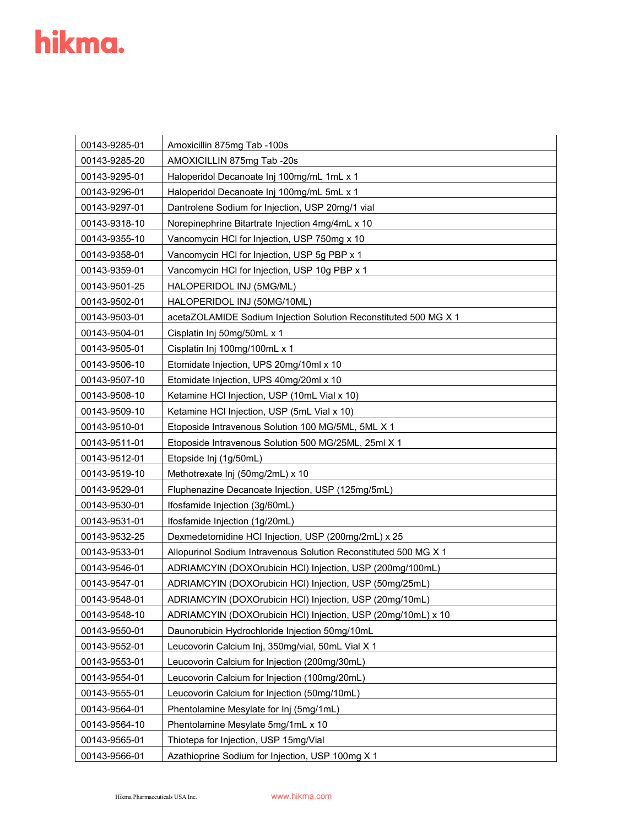| 00143-9285-01 | Amoxicillin 875mg Tab -100s                                      |
|---------------|------------------------------------------------------------------|
| 00143-9285-20 | AMOXICILLIN 875mg Tab -20s                                       |
| 00143-9295-01 | Haloperidol Decanoate Inj 100mg/mL 1mL x 1                       |
| 00143-9296-01 | Haloperidol Decanoate Inj 100mg/mL 5mL x 1                       |
| 00143-9297-01 | Dantrolene Sodium for Injection, USP 20mg/1 vial                 |
| 00143-9318-10 | Norepinephrine Bitartrate Injection 4mg/4mL x 10                 |
| 00143-9355-10 | Vancomycin HCI for Injection, USP 750mg x 10                     |
| 00143-9358-01 | Vancomycin HCI for Injection, USP 5g PBP x 1                     |
| 00143-9359-01 | Vancomycin HCI for Injection, USP 10g PBP x 1                    |
| 00143-9501-25 | HALOPERIDOL INJ (5MG/ML)                                         |
| 00143-9502-01 | HALOPERIDOL INJ (50MG/10ML)                                      |
| 00143-9503-01 | acetaZOLAMIDE Sodium Injection Solution Reconstituted 500 MG X 1 |
| 00143-9504-01 | Cisplatin Inj 50mg/50mL x 1                                      |
| 00143-9505-01 | Cisplatin Inj 100mg/100mL x 1                                    |
| 00143-9506-10 | Etomidate Injection, UPS 20mg/10ml x 10                          |
| 00143-9507-10 | Etomidate Injection, UPS 40mg/20ml x 10                          |
| 00143-9508-10 | Ketamine HCI Injection, USP (10mL Vial x 10)                     |
| 00143-9509-10 | Ketamine HCI Injection, USP (5mL Vial x 10)                      |
| 00143-9510-01 | Etoposide Intravenous Solution 100 MG/5ML, 5ML X 1               |
| 00143-9511-01 | Etoposide Intravenous Solution 500 MG/25ML, 25ml X 1             |
| 00143-9512-01 | Etopside Inj (1g/50mL)                                           |
| 00143-9519-10 | Methotrexate Inj (50mg/2mL) x 10                                 |
| 00143-9529-01 | Fluphenazine Decanoate Injection, USP (125mg/5mL)                |
| 00143-9530-01 | Ifosfamide Injection (3g/60mL)                                   |
| 00143-9531-01 | Ifosfamide Injection (1g/20mL)                                   |
| 00143-9532-25 | Dexmedetomidine HCI Injection, USP (200mg/2mL) x 25              |
| 00143-9533-01 | Allopurinol Sodium Intravenous Solution Reconstituted 500 MG X 1 |
| 00143-9546-01 | ADRIAMCYIN (DOXOrubicin HCI) Injection, USP (200mg/100mL)        |
| 00143-9547-01 | ADRIAMCYIN (DOXOrubicin HCI) Injection, USP (50mg/25mL)          |
| 00143-9548-01 | ADRIAMCYIN (DOXOrubicin HCI) Injection, USP (20mg/10mL)          |
| 00143-9548-10 | ADRIAMCYIN (DOXOrubicin HCI) Injection, USP (20mg/10mL) x 10     |
| 00143-9550-01 | Daunorubicin Hydrochloride Injection 50mg/10mL                   |
| 00143-9552-01 | Leucovorin Calcium Inj, 350mg/vial, 50mL Vial X 1                |
| 00143-9553-01 | Leucovorin Calcium for Injection (200mg/30mL)                    |
| 00143-9554-01 | Leucovorin Calcium for Injection (100mg/20mL)                    |
| 00143-9555-01 | Leucovorin Calcium for Injection (50mg/10mL)                     |
| 00143-9564-01 | Phentolamine Mesylate for Inj (5mg/1mL)                          |
| 00143-9564-10 | Phentolamine Mesylate 5mg/1mL x 10                               |
| 00143-9565-01 | Thiotepa for Injection, USP 15mg/Vial                            |
| 00143-9566-01 | Azathioprine Sodium for Injection, USP 100mg X 1                 |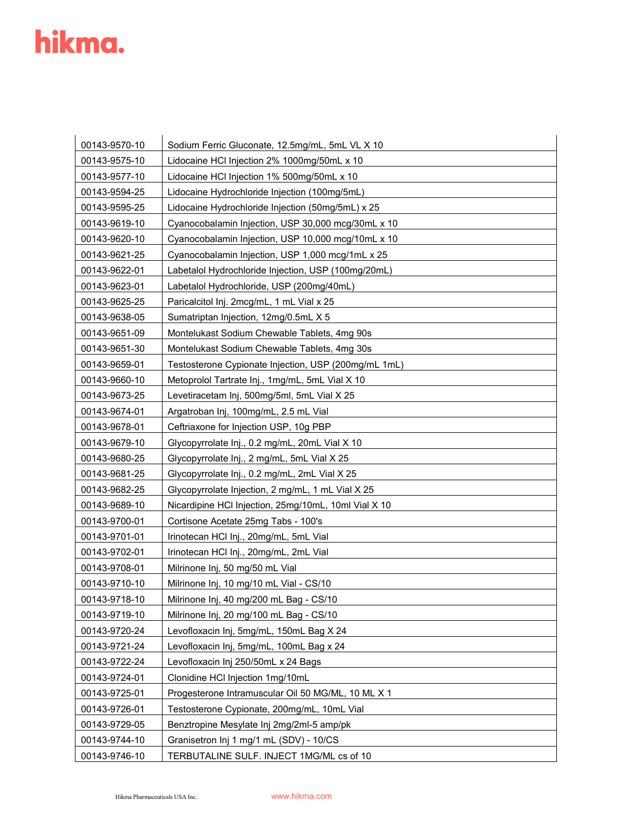| 00143-9570-10 | Sodium Ferric Gluconate, 12.5mg/mL, 5mL VL X 10      |
|---------------|------------------------------------------------------|
| 00143-9575-10 | Lidocaine HCI Injection 2% 1000mg/50mL x 10          |
| 00143-9577-10 | Lidocaine HCI Injection 1% 500mg/50mL x 10           |
| 00143-9594-25 | Lidocaine Hydrochloride Injection (100mg/5mL)        |
| 00143-9595-25 | Lidocaine Hydrochloride Injection (50mg/5mL) x 25    |
| 00143-9619-10 | Cyanocobalamin Injection, USP 30,000 mcg/30mL x 10   |
| 00143-9620-10 | Cyanocobalamin Injection, USP 10,000 mcg/10mL x 10   |
| 00143-9621-25 | Cyanocobalamin Injection, USP 1,000 mcg/1mL x 25     |
| 00143-9622-01 | Labetalol Hydrochloride Injection, USP (100mg/20mL)  |
| 00143-9623-01 | Labetalol Hydrochloride, USP (200mg/40mL)            |
| 00143-9625-25 | Paricalcitol Inj. 2mcg/mL, 1 mL Vial x 25            |
| 00143-9638-05 | Sumatriptan Injection, 12mg/0.5mL X 5                |
| 00143-9651-09 | Montelukast Sodium Chewable Tablets, 4mg 90s         |
| 00143-9651-30 | Montelukast Sodium Chewable Tablets, 4mg 30s         |
| 00143-9659-01 | Testosterone Cypionate Injection, USP (200mg/mL 1mL) |
| 00143-9660-10 | Metoprolol Tartrate Inj., 1mg/mL, 5mL Vial X 10      |
| 00143-9673-25 | Levetiracetam Inj, 500mg/5ml, 5mL Vial X 25          |
| 00143-9674-01 | Argatroban Inj, 100mg/mL, 2.5 mL Vial                |
| 00143-9678-01 | Ceftriaxone for Injection USP, 10g PBP               |
| 00143-9679-10 | Glycopyrrolate Inj., 0.2 mg/mL, 20mL Vial X 10       |
| 00143-9680-25 | Glycopyrrolate Inj., 2 mg/mL, 5mL Vial X 25          |
| 00143-9681-25 | Glycopyrrolate Inj., 0.2 mg/mL, 2mL Vial X 25        |
| 00143-9682-25 | Glycopyrrolate Injection, 2 mg/mL, 1 mL Vial X 25    |
| 00143-9689-10 | Nicardipine HCI Injection, 25mg/10mL, 10ml Vial X 10 |
| 00143-9700-01 | Cortisone Acetate 25mg Tabs - 100's                  |
| 00143-9701-01 | Irinotecan HCI Inj., 20mg/mL, 5mL Vial               |
| 00143-9702-01 | Irinotecan HCI Inj., 20mg/mL, 2mL Vial               |
| 00143-9708-01 | Milrinone Inj, 50 mg/50 mL Vial                      |
| 00143-9710-10 | Milrinone Inj, 10 mg/10 mL Vial - CS/10              |
| 00143-9718-10 | Milrinone Inj, 40 mg/200 mL Bag - CS/10              |
| 00143-9719-10 | Milrinone Inj, 20 mg/100 mL Bag - CS/10              |
| 00143-9720-24 | Levofloxacin Inj, 5mg/mL, 150mL Bag X 24             |
| 00143-9721-24 | Levofloxacin Inj, 5mg/mL, 100mL Bag x 24             |
| 00143-9722-24 | Levofloxacin Inj 250/50mL x 24 Bags                  |
| 00143-9724-01 | Clonidine HCI Injection 1mg/10mL                     |
| 00143-9725-01 | Progesterone Intramuscular Oil 50 MG/ML, 10 ML X 1   |
| 00143-9726-01 | Testosterone Cypionate, 200mg/mL, 10mL Vial          |
| 00143-9729-05 | Benztropine Mesylate Inj 2mg/2ml-5 amp/pk            |
| 00143-9744-10 | Granisetron Inj 1 mg/1 mL (SDV) - 10/CS              |
| 00143-9746-10 | TERBUTALINE SULF. INJECT 1MG/ML cs of 10             |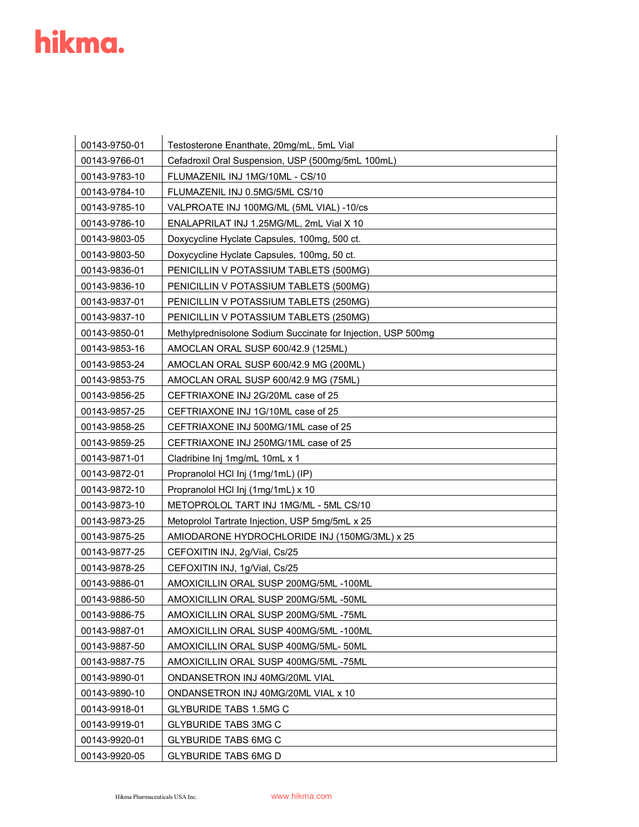| 00143-9750-01 | Testosterone Enanthate, 20mg/mL, 5mL Vial                    |
|---------------|--------------------------------------------------------------|
| 00143-9766-01 | Cefadroxil Oral Suspension, USP (500mg/5mL 100mL)            |
| 00143-9783-10 | FLUMAZENIL INJ 1MG/10ML - CS/10                              |
| 00143-9784-10 | FLUMAZENIL INJ 0.5MG/5ML CS/10                               |
| 00143-9785-10 | VALPROATE INJ 100MG/ML (5ML VIAL) -10/cs                     |
| 00143-9786-10 | ENALAPRILAT INJ 1.25MG/ML, 2mL Vial X 10                     |
| 00143-9803-05 | Doxycycline Hyclate Capsules, 100mg, 500 ct.                 |
| 00143-9803-50 | Doxycycline Hyclate Capsules, 100mg, 50 ct.                  |
| 00143-9836-01 | PENICILLIN V POTASSIUM TABLETS (500MG)                       |
| 00143-9836-10 | PENICILLIN V POTASSIUM TABLETS (500MG)                       |
| 00143-9837-01 | PENICILLIN V POTASSIUM TABLETS (250MG)                       |
| 00143-9837-10 | PENICILLIN V POTASSIUM TABLETS (250MG)                       |
| 00143-9850-01 | Methylprednisolone Sodium Succinate for Injection, USP 500mg |
| 00143-9853-16 | AMOCLAN ORAL SUSP 600/42.9 (125ML)                           |
| 00143-9853-24 | AMOCLAN ORAL SUSP 600/42.9 MG (200ML)                        |
| 00143-9853-75 | AMOCLAN ORAL SUSP 600/42.9 MG (75ML)                         |
| 00143-9856-25 | CEFTRIAXONE INJ 2G/20ML case of 25                           |
| 00143-9857-25 | CEFTRIAXONE INJ 1G/10ML case of 25                           |
| 00143-9858-25 | CEFTRIAXONE INJ 500MG/1ML case of 25                         |
| 00143-9859-25 | CEFTRIAXONE INJ 250MG/1ML case of 25                         |
| 00143-9871-01 | Cladribine Inj 1mg/mL 10mL x 1                               |
| 00143-9872-01 | Propranolol HCl Inj (1mg/1mL) (IP)                           |
| 00143-9872-10 | Propranolol HCl Inj (1mg/1mL) x 10                           |
| 00143-9873-10 | METOPROLOL TART INJ 1MG/ML - 5ML CS/10                       |
| 00143-9873-25 | Metoprolol Tartrate Injection, USP 5mg/5mL x 25              |
| 00143-9875-25 | AMIODARONE HYDROCHLORIDE INJ (150MG/3ML) x 25                |
| 00143-9877-25 | CEFOXITIN INJ, 2g/Vial, Cs/25                                |
| 00143-9878-25 | CEFOXITIN INJ, 1g/Vial, Cs/25                                |
| 00143-9886-01 | AMOXICILLIN ORAL SUSP 200MG/5ML -100ML                       |
| 00143-9886-50 | AMOXICILLIN ORAL SUSP 200MG/5ML -50ML                        |
| 00143-9886-75 | AMOXICILLIN ORAL SUSP 200MG/5ML-75ML                         |
| 00143-9887-01 | AMOXICILLIN ORAL SUSP 400MG/5ML -100ML                       |
| 00143-9887-50 | AMOXICILLIN ORAL SUSP 400MG/5ML- 50ML                        |
| 00143-9887-75 | AMOXICILLIN ORAL SUSP 400MG/5ML -75ML                        |
| 00143-9890-01 | ONDANSETRON INJ 40MG/20ML VIAL                               |
| 00143-9890-10 | ONDANSETRON INJ 40MG/20ML VIAL x 10                          |
| 00143-9918-01 | <b>GLYBURIDE TABS 1.5MG C</b>                                |
| 00143-9919-01 | <b>GLYBURIDE TABS 3MG C</b>                                  |
| 00143-9920-01 | <b>GLYBURIDE TABS 6MG C</b>                                  |
| 00143-9920-05 | <b>GLYBURIDE TABS 6MG D</b>                                  |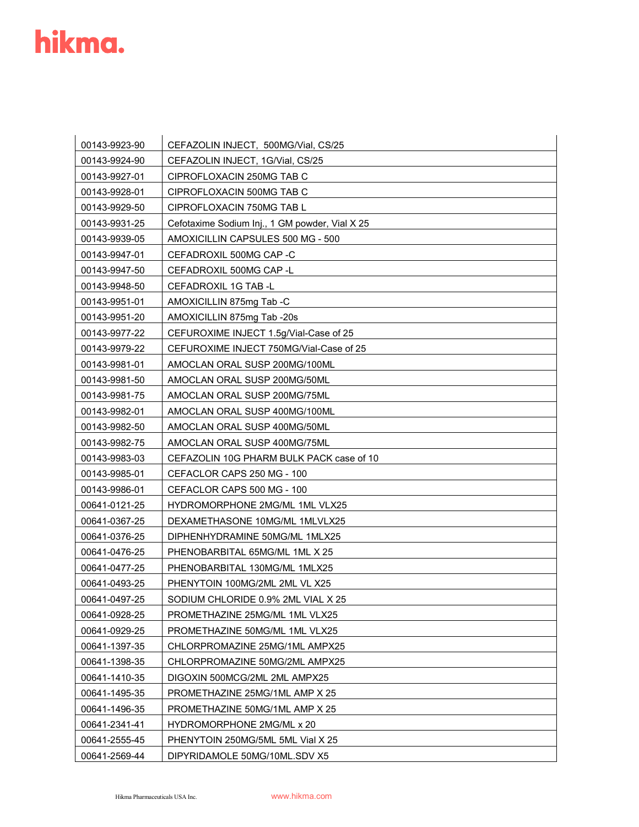| 00143-9923-90 | CEFAZOLIN INJECT, 500MG/Vial, CS/25            |
|---------------|------------------------------------------------|
| 00143-9924-90 | CEFAZOLIN INJECT, 1G/Vial, CS/25               |
| 00143-9927-01 | CIPROFLOXACIN 250MG TAB C                      |
| 00143-9928-01 | CIPROFLOXACIN 500MG TAB C                      |
| 00143-9929-50 | CIPROFLOXACIN 750MG TAB L                      |
| 00143-9931-25 | Cefotaxime Sodium Inj., 1 GM powder, Vial X 25 |
| 00143-9939-05 | AMOXICILLIN CAPSULES 500 MG - 500              |
| 00143-9947-01 | CEFADROXIL 500MG CAP -C                        |
| 00143-9947-50 | CEFADROXIL 500MG CAP -L                        |
| 00143-9948-50 | CEFADROXIL 1G TAB -L                           |
| 00143-9951-01 | AMOXICILLIN 875mg Tab -C                       |
| 00143-9951-20 | AMOXICILLIN 875mg Tab -20s                     |
| 00143-9977-22 | CEFUROXIME INJECT 1.5g/Vial-Case of 25         |
| 00143-9979-22 | CEFUROXIME INJECT 750MG/Vial-Case of 25        |
| 00143-9981-01 | AMOCLAN ORAL SUSP 200MG/100ML                  |
| 00143-9981-50 | AMOCLAN ORAL SUSP 200MG/50ML                   |
| 00143-9981-75 | AMOCLAN ORAL SUSP 200MG/75ML                   |
| 00143-9982-01 | AMOCLAN ORAL SUSP 400MG/100ML                  |
| 00143-9982-50 | AMOCLAN ORAL SUSP 400MG/50ML                   |
| 00143-9982-75 | AMOCLAN ORAL SUSP 400MG/75ML                   |
| 00143-9983-03 | CEFAZOLIN 10G PHARM BULK PACK case of 10       |
| 00143-9985-01 | CEFACLOR CAPS 250 MG - 100                     |
| 00143-9986-01 | CEFACLOR CAPS 500 MG - 100                     |
| 00641-0121-25 | HYDROMORPHONE 2MG/ML 1ML VLX25                 |
| 00641-0367-25 | DEXAMETHASONE 10MG/ML 1MLVLX25                 |
| 00641-0376-25 | DIPHENHYDRAMINE 50MG/ML 1MLX25                 |
| 00641-0476-25 | PHENOBARBITAL 65MG/ML 1ML X 25                 |
| 00641-0477-25 | PHENOBARBITAL 130MG/ML 1MLX25                  |
| 00641-0493-25 | PHENYTOIN 100MG/2ML 2ML VL X25                 |
| 00641-0497-25 | SODIUM CHLORIDE 0.9% 2ML VIAL X 25             |
| 00641-0928-25 | PROMETHAZINE 25MG/ML 1ML VLX25                 |
| 00641-0929-25 | PROMETHAZINE 50MG/ML 1ML VLX25                 |
| 00641-1397-35 | CHLORPROMAZINE 25MG/1ML AMPX25                 |
| 00641-1398-35 | CHLORPROMAZINE 50MG/2ML AMPX25                 |
| 00641-1410-35 | DIGOXIN 500MCG/2ML 2ML AMPX25                  |
| 00641-1495-35 | PROMETHAZINE 25MG/1ML AMP X 25                 |
| 00641-1496-35 | PROMETHAZINE 50MG/1ML AMP X 25                 |
| 00641-2341-41 | <b>HYDROMORPHONE 2MG/ML x 20</b>               |
| 00641-2555-45 | PHENYTOIN 250MG/5ML 5ML Vial X 25              |
| 00641-2569-44 | DIPYRIDAMOLE 50MG/10ML.SDV X5                  |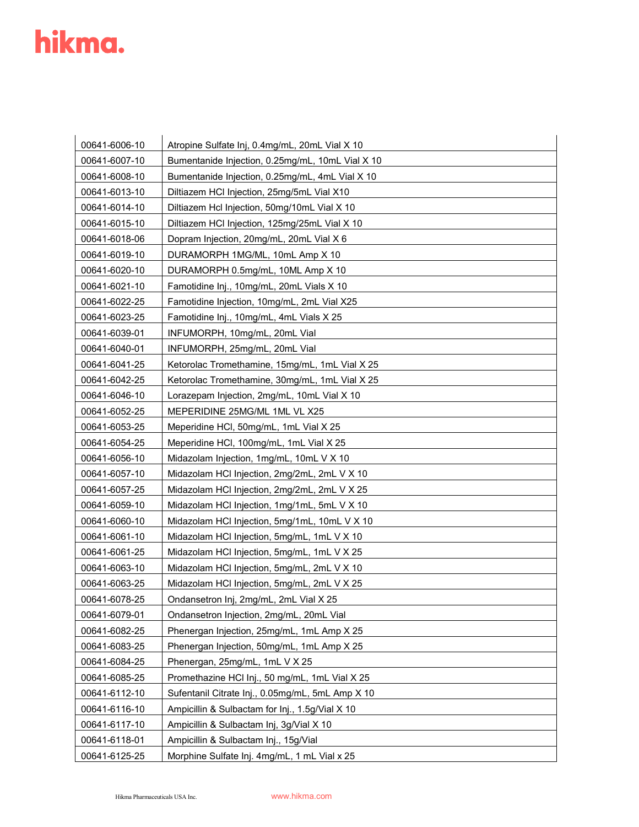| 00641-6006-10 | Atropine Sulfate Inj, 0.4mg/mL, 20mL Vial X 10   |
|---------------|--------------------------------------------------|
| 00641-6007-10 | Bumentanide Injection, 0.25mg/mL, 10mL Vial X 10 |
| 00641-6008-10 | Bumentanide Injection, 0.25mg/mL, 4mL Vial X 10  |
| 00641-6013-10 | Diltiazem HCl Injection, 25mg/5mL Vial X10       |
| 00641-6014-10 | Diltiazem Hcl Injection, 50mg/10mL Vial X 10     |
| 00641-6015-10 | Diltiazem HCl Injection, 125mg/25mL Vial X 10    |
| 00641-6018-06 | Dopram Injection, 20mg/mL, 20mL Vial X 6         |
| 00641-6019-10 | DURAMORPH 1MG/ML, 10mL Amp X 10                  |
| 00641-6020-10 | DURAMORPH 0.5mg/mL, 10ML Amp X 10                |
| 00641-6021-10 | Famotidine Inj., 10mg/mL, 20mL Vials X 10        |
| 00641-6022-25 | Famotidine Injection, 10mg/mL, 2mL Vial X25      |
| 00641-6023-25 | Famotidine Inj., 10mg/mL, 4mL Vials X 25         |
| 00641-6039-01 | INFUMORPH, 10mg/mL, 20mL Vial                    |
| 00641-6040-01 | INFUMORPH, 25mg/mL, 20mL Vial                    |
| 00641-6041-25 | Ketorolac Tromethamine, 15mg/mL, 1mL Vial X 25   |
| 00641-6042-25 | Ketorolac Tromethamine, 30mg/mL, 1mL Vial X 25   |
| 00641-6046-10 | Lorazepam Injection, 2mg/mL, 10mL Vial X 10      |
| 00641-6052-25 | MEPERIDINE 25MG/ML 1ML VL X25                    |
| 00641-6053-25 | Meperidine HCI, 50mg/mL, 1mL Vial X 25           |
| 00641-6054-25 | Meperidine HCl, 100mg/mL, 1mL Vial X 25          |
| 00641-6056-10 | Midazolam Injection, 1mg/mL, 10mL V X 10         |
| 00641-6057-10 | Midazolam HCl Injection, 2mg/2mL, 2mL V X 10     |
| 00641-6057-25 | Midazolam HCl Injection, 2mg/2mL, 2mL V X 25     |
| 00641-6059-10 | Midazolam HCI Injection, 1mg/1mL, 5mL V X 10     |
| 00641-6060-10 | Midazolam HCI Injection, 5mg/1mL, 10mL V X 10    |
| 00641-6061-10 | Midazolam HCI Injection, 5mg/mL, 1mL V X 10      |
| 00641-6061-25 | Midazolam HCI Injection, 5mg/mL, 1mL V X 25      |
| 00641-6063-10 | Midazolam HCI Injection, 5mg/mL, 2mL V X 10      |
| 00641-6063-25 | Midazolam HCI Injection, 5mg/mL, 2mL V X 25      |
| 00641-6078-25 | Ondansetron Inj, 2mg/mL, 2mL Vial X 25           |
| 00641-6079-01 | Ondansetron Injection, 2mg/mL, 20mL Vial         |
| 00641-6082-25 | Phenergan Injection, 25mg/mL, 1mL Amp X 25       |
| 00641-6083-25 | Phenergan Injection, 50mg/mL, 1mL Amp X 25       |
| 00641-6084-25 | Phenergan, 25mg/mL, 1mL V X 25                   |
| 00641-6085-25 | Promethazine HCl Inj., 50 mg/mL, 1mL Vial X 25   |
| 00641-6112-10 | Sufentanil Citrate Inj., 0.05mg/mL, 5mL Amp X 10 |
| 00641-6116-10 | Ampicillin & Sulbactam for Inj., 1.5g/Vial X 10  |
| 00641-6117-10 | Ampicillin & Sulbactam Inj, 3g/Vial X 10         |
| 00641-6118-01 | Ampicillin & Sulbactam Inj., 15g/Vial            |
| 00641-6125-25 | Morphine Sulfate Inj. 4mg/mL, 1 mL Vial x 25     |